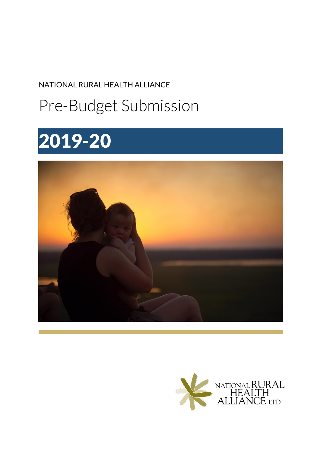NATIONAL RURAL HEALTH ALLIANCE

## Pre-Budget Submission

# 2019-20



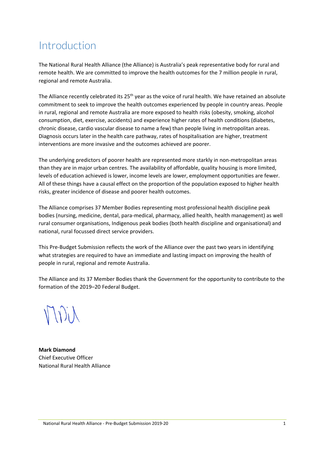### Introduction

The National Rural Health Alliance (the Alliance) is Australia's peak representative body for rural and remote health. We are committed to improve the health outcomes for the 7 million people in rural, regional and remote Australia.

The Alliance recently celebrated its 25<sup>th</sup> year as the voice of rural health. We have retained an absolute commitment to seek to improve the health outcomes experienced by people in country areas. People in rural, regional and remote Australia are more exposed to health risks (obesity, smoking, alcohol consumption, diet, exercise, accidents) and experience higher rates of health conditions (diabetes, chronic disease, cardio vascular disease to name a few) than people living in metropolitan areas. Diagnosis occurs later in the health care pathway, rates of hospitalisation are higher, treatment interventions are more invasive and the outcomes achieved are poorer.

The underlying predictors of poorer health are represented more starkly in non-metropolitan areas than they are in major urban centres. The availability of affordable, quality housing is more limited, levels of education achieved is lower, income levels are lower, employment opportunities are fewer. All of these things have a causal effect on the proportion of the population exposed to higher health risks, greater incidence of disease and poorer health outcomes.

The Alliance comprises 37 Member Bodies representing most professional health discipline peak bodies (nursing, medicine, dental, para-medical, pharmacy, allied health, health management) as well rural consumer organisations, Indigenous peak bodies (both health discipline and organisational) and national, rural focussed direct service providers.

This Pre-Budget Submission reflects the work of the Alliance over the past two years in identifying what strategies are required to have an immediate and lasting impact on improving the health of people in rural, regional and remote Australia.

The Alliance and its 37 Member Bodies thank the Government for the opportunity to contribute to the formation of the 2019–20 Federal Budget.

**Mark Diamond** Chief Executive Officer National Rural Health Alliance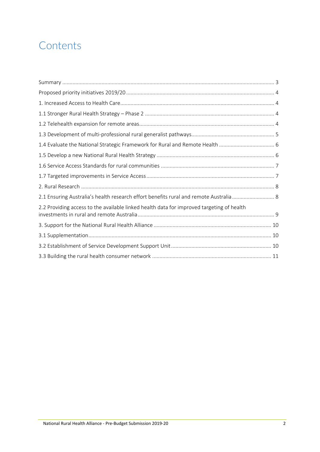## **Contents**

| 2.1 Ensuring Australia's health research effort benefits rural and remote Australia 8     |  |
|-------------------------------------------------------------------------------------------|--|
| 2.2 Providing access to the available linked health data for improved targeting of health |  |
|                                                                                           |  |
|                                                                                           |  |
|                                                                                           |  |
|                                                                                           |  |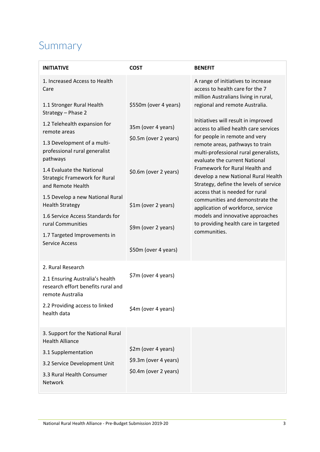## <span id="page-3-0"></span>Summary

| <b>INITIATIVF</b>                                                                                                                                          | <b>COST</b>                                                           | <b>BENEFIT</b>                                                                                                  |
|------------------------------------------------------------------------------------------------------------------------------------------------------------|-----------------------------------------------------------------------|-----------------------------------------------------------------------------------------------------------------|
| 1. Increased Access to Health<br>Care                                                                                                                      |                                                                       | A range of initiatives to increase<br>access to health care for the 7<br>million Australians living in rural,   |
| 1.1 Stronger Rural Health<br>Strategy - Phase 2                                                                                                            | \$550m (over 4 years)                                                 | regional and remote Australia.                                                                                  |
| 1.2 Telehealth expansion for<br>remote areas                                                                                                               | 35m (over 4 years)                                                    | Initiatives will result in improved<br>access to allied health care services<br>for people in remote and very   |
| 1.3 Development of a multi-<br>professional rural generalist<br>pathways                                                                                   | \$0.5m (over 2 years)                                                 | remote areas, pathways to train<br>multi-professional rural generalists,<br>evaluate the current National       |
| 1.4 Evaluate the National<br><b>Strategic Framework for Rural</b><br>and Remote Health                                                                     | \$0.6m (over 2 years)                                                 | Framework for Rural Health and<br>develop a new National Rural Health<br>Strategy, define the levels of service |
| 1.5 Develop a new National Rural<br><b>Health Strategy</b>                                                                                                 | \$1m (over 2 years)                                                   | access that is needed for rural<br>communities and demonstrate the<br>application of workforce, service         |
| 1.6 Service Access Standards for<br>rural Communities                                                                                                      | \$9m (over 2 years)                                                   | models and innovative approaches<br>to providing health care in targeted                                        |
| 1.7 Targeted Improvements in<br><b>Service Access</b>                                                                                                      | \$50m (over 4 years)                                                  | communities.                                                                                                    |
| 2. Rural Research                                                                                                                                          |                                                                       |                                                                                                                 |
| 2.1 Ensuring Australia's health<br>research effort benefits rural and<br>remote Australia                                                                  | \$7m (over 4 years)                                                   |                                                                                                                 |
| 2.2 Providing access to linked<br>health data                                                                                                              | \$4m (over 4 years)                                                   |                                                                                                                 |
| 3. Support for the National Rural<br><b>Health Alliance</b><br>3.1 Supplementation<br>3.2 Service Development Unit<br>3.3 Rural Health Consumer<br>Network | \$2m (over 4 years)<br>\$9.3m (over 4 years)<br>\$0.4m (over 2 years) |                                                                                                                 |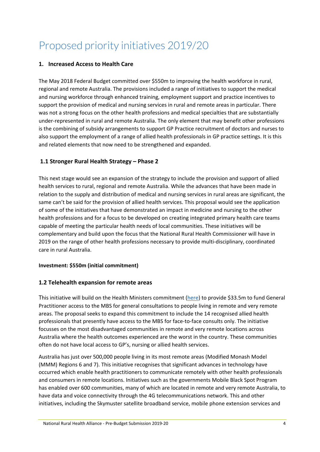## <span id="page-4-0"></span>Proposed priority initiatives 2019/20

#### <span id="page-4-1"></span>**1. Increased Access to Health Care**

The May 2018 Federal Budget committed over \$550m to improving the health workforce in rural, regional and remote Australia. The provisions included a range of initiatives to support the medical and nursing workforce through enhanced training, employment support and practice incentives to support the provision of medical and nursing services in rural and remote areas in particular. There was not a strong focus on the other health professions and medical specialties that are substantially under-represented in rural and remote Australia. The only element that may benefit other professions is the combining of subsidy arrangements to support GP Practice recruitment of doctors and nurses to also support the employment of a range of allied health professionals in GP practice settings. It is this and related elements that now need to be strengthened and expanded.

#### <span id="page-4-2"></span>**1.1 Stronger Rural Health Strategy – Phase 2**

This next stage would see an expansion of the strategy to include the provision and support of allied health services to rural, regional and remote Australia. While the advances that have been made in relation to the supply and distribution of medical and nursing services in rural areas are significant, the same can't be said for the provision of allied health services. This proposal would see the application of some of the initiatives that have demonstrated an impact in medicine and nursing to the other health professions and for a focus to be developed on creating integrated primary health care teams capable of meeting the particular health needs of local communities. These initiatives will be complementary and build upon the focus that the National Rural Health Commissioner will have in 2019 on the range of other health professions necessary to provide multi-disciplinary, coordinated care in rural Australia.

#### **Investment: \$550m (initial commitment)**

#### <span id="page-4-3"></span>**1.2 Telehealth expansion for remote areas**

This initiative will build on the Health Ministers commitment [\(here\)](http://www.health.gov.au/internet/ministers/publishing.nsf/Content/health-mediarel-yr2018-hunt178.htm) to provide \$33.5m to fund General Practitioner access to the MBS for general consultations to people living in remote and very remote areas. The proposal seeks to expand this commitment to include the 14 recognised allied health professionals that presently have access to the MBS for face-to-face consults only. The initiative focusses on the most disadvantaged communities in remote and very remote locations across Australia where the health outcomes experienced are the worst in the country. These communities often do not have local access to GP's, nursing or allied health services.

Australia has just over 500,000 people living in its most remote areas (Modified Monash Model (MMM) Regions 6 and 7). This initiative recognises that significant advances in technology have occurred which enable health practitioners to communicate remotely with other health professionals and consumers in remote locations. Initiatives such as the governments Mobile Black Spot Program has enabled over 600 communities, many of which are located in remote and very remote Australia, to have data and voice connectivity through the 4G telecommunications network. This and other initiatives, including the Skymuster satellite broadband service, mobile phone extension services and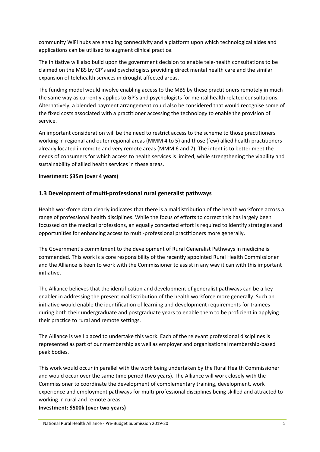community WiFi hubs are enabling connectivity and a platform upon which technological aides and applications can be utilised to augment clinical practice.

The initiative will also build upon the government decision to enable tele-health consultations to be claimed on the MBS by GP's and psychologists providing direct mental health care and the similar expansion of telehealth services in drought affected areas.

The funding model would involve enabling access to the MBS by these practitioners remotely in much the same way as currently applies to GP's and psychologists for mental health related consultations. Alternatively, a blended payment arrangement could also be considered that would recognise some of the fixed costs associated with a practitioner accessing the technology to enable the provision of service.

An important consideration will be the need to restrict access to the scheme to those practitioners working in regional and outer regional areas (MMM 4 to 5) and those (few) allied health practitioners already located in remote and very remote areas (MMM 6 and 7). The intent is to better meet the needs of consumers for which access to health services is limited, while strengthening the viability and sustainability of allied health services in these areas.

#### **Investment: \$35m (over 4 years)**

#### <span id="page-5-0"></span>**1.3 Development of multi-professional rural generalist pathways**

Health workforce data clearly indicates that there is a maldistribution of the health workforce across a range of professional health disciplines. While the focus of efforts to correct this has largely been focussed on the medical professions, an equally concerted effort is required to identify strategies and opportunities for enhancing access to multi-professional practitioners more generally.

The Government's commitment to the development of Rural Generalist Pathways in medicine is commended. This work is a core responsibility of the recently appointed Rural Health Commissioner and the Alliance is keen to work with the Commissioner to assist in any way it can with this important initiative.

The Alliance believes that the identification and development of generalist pathways can be a key enabler in addressing the present maldistribution of the health workforce more generally. Such an initiative would enable the identification of learning and development requirements for trainees during both their undergraduate and postgraduate years to enable them to be proficient in applying their practice to rural and remote settings.

The Alliance is well placed to undertake this work. Each of the relevant professional disciplines is represented as part of our membership as well as employer and organisational membership-based peak bodies.

This work would occur in parallel with the work being undertaken by the Rural Health Commissioner and would occur over the same time period (two years). The Alliance will work closely with the Commissioner to coordinate the development of complementary training, development, work experience and employment pathways for multi-professional disciplines being skilled and attracted to working in rural and remote areas.

**Investment: \$500k (over two years)**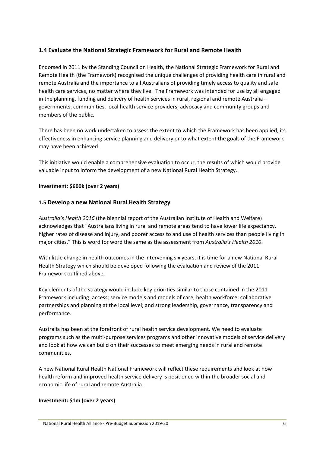#### <span id="page-6-0"></span>**1.4 Evaluate the National Strategic Framework for Rural and Remote Health**

Endorsed in 2011 by the Standing Council on Health, the National Strategic Framework for Rural and Remote Health (the Framework) recognised the unique challenges of providing health care in rural and remote Australia and the importance to all Australians of providing timely access to quality and safe health care services, no matter where they live. The Framework was intended for use by all engaged in the planning, funding and delivery of health services in rural, regional and remote Australia – governments, communities, local health service providers, advocacy and community groups and members of the public.

There has been no work undertaken to assess the extent to which the Framework has been applied, its effectiveness in enhancing service planning and delivery or to what extent the goals of the Framework may have been achieved.

This initiative would enable a comprehensive evaluation to occur, the results of which would provide valuable input to inform the development of a new National Rural Health Strategy.

#### **Investment: \$600k (over 2 years)**

#### **1.5 Develop a new National Rural Health Strategy**

*Australia's Health 2016* (the biennial report of the Australian Institute of Health and Welfare) acknowledges that "Australians living in rural and remote areas tend to have lower life expectancy, higher rates of disease and injury, and poorer access to and use of health services than people living in major cities." This is word for word the same as the assessment from *Australia's Health 2010*.

With little change in health outcomes in the intervening six years, it is time for a new National Rural Health Strategy which should be developed following the evaluation and review of the 2011 Framework outlined above.

Key elements of the strategy would include key priorities similar to those contained in the 2011 Framework including: access; service models and models of care; health workforce; collaborative partnerships and planning at the local level; and strong leadership, governance, transparency and performance.

Australia has been at the forefront of rural health service development. We need to evaluate programs such as the multi-purpose services programs and other innovative models of service delivery and look at how we can build on their successes to meet emerging needs in rural and remote communities.

A new National Rural Health National Framework will reflect these requirements and look at how health reform and improved health service delivery is positioned within the broader social and economic life of rural and remote Australia.

#### **Investment: \$1m (over 2 years)**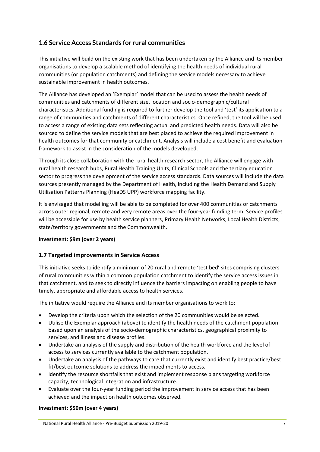#### **1.6 Service Access Standards for rural communities**

This initiative will build on the existing work that has been undertaken by the Alliance and its member organisations to develop a scalable method of identifying the health needs of individual rural communities (or population catchments) and defining the service models necessary to achieve sustainable improvement in health outcomes.

The Alliance has developed an 'Exemplar' model that can be used to assess the health needs of communities and catchments of different size, location and socio-demographic/cultural characteristics. Additional funding is required to further develop the tool and 'test' its application to a range of communities and catchments of different characteristics. Once refined, the tool will be used to access a range of existing data sets reflecting actual and predicted health needs. Data will also be sourced to define the service models that are best placed to achieve the required improvement in health outcomes for that community or catchment. Analysis will include a cost benefit and evaluation framework to assist in the consideration of the models developed.

Through its close collaboration with the rural health research sector, the Alliance will engage with rural health research hubs, Rural Health Training Units, Clinical Schools and the tertiary education sector to progress the development of the service access standards. Data sources will include the data sources presently managed by the Department of Health, including the Health Demand and Supply Utilisation Patterns Planning (HeaDS UPP) workforce mapping facility.

It is envisaged that modelling will be able to be completed for over 400 communities or catchments across outer regional, remote and very remote areas over the four-year funding term. Service profiles will be accessible for use by health service planners, Primary Health Networks, Local Health Districts, state/territory governments and the Commonwealth.

#### **Investment: \$9m (over 2 years)**

#### **1.7 Targeted improvements in Service Access**

This initiative seeks to identify a minimum of 20 rural and remote 'test bed' sites comprising clusters of rural communities within a common population catchment to identify the service access issues in that catchment, and to seek to directly influence the barriers impacting on enabling people to have timely, appropriate and affordable access to health services.

The initiative would require the Alliance and its member organisations to work to:

- Develop the criteria upon which the selection of the 20 communities would be selected.
- Utilise the Exemplar approach (above) to identify the health needs of the catchment population based upon an analysis of the socio-demographic characteristics, geographical proximity to services, and illness and disease profiles.
- Undertake an analysis of the supply and distribution of the health workforce and the level of access to services currently available to the catchment population.
- Undertake an analysis of the pathways to care that currently exist and identify best practice/best fit/best outcome solutions to address the impediments to access.
- Identify the resource shortfalls that exist and implement response plans targeting workforce capacity, technological integration and infrastructure.
- Evaluate over the four-year funding period the improvement in service access that has been achieved and the impact on health outcomes observed.

#### **Investment: \$50m (over 4 years)**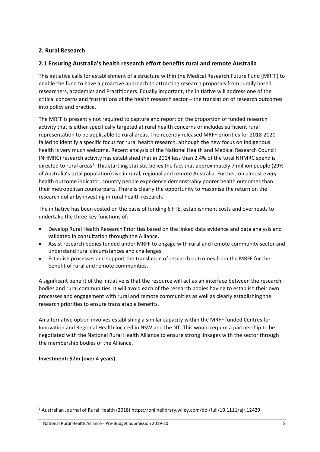#### **2. Rural Research**

#### **2.1 Ensuring Australia's health research effort benefits rural and remote Australia**

This initiative calls for establishment of a structure within the Medical Research Future Fund (MRFF) to enable the fund to have a proactive approach to attracting research proposals from rurally based researchers, academics and Practitioners. Equally important, the initiative will address one of the critical concerns and frustrations of the health research sector – the translation of research outcomes into policy and practice.

The MRFF is presently not required to capture and report on the proportion of funded research activity that is either specifically targeted at rural health concerns or includes sufficient rural representation to be applicable to rural areas. The recently released MRFF priorities for 2018-2020 failed to identify a specific focus for rural health research, although the new focus on Indigenous health is very much welcome. Recent analysis of the National Health and Medical Research Council (NHMRC) research activity has established that in 2014 less than 2.4% of the total NHMRC spend is directed to rural areas<sup>[1](#page-8-0)</sup>. This startling statistic belies the fact that approximately 7 million people (29% of Australia's total population) live in rural, regional and remote Australia. Further, on almost every health outcome indicator, country people experience demonstrably poorer health outcomes than their metropolitan counterparts. There is clearly the opportunity to maximise the return on the research dollar by investing in rural health research.

The initiative has been costed on the basis of funding 6 FTE, establishment costs and overheads to undertake the three key functions of:

- Develop Rural Health Research Priorities based on the linked data evidence and data analysis and validated in consultation through the Alliance.
- Assist research bodies funded under MRFF to engage with rural and remote community sector and understand rural circumstances and challenges.
- Establish processes and support the translation of research outcomes from the MRFF for the benefit of rural and remote communities.

A significant benefit of the initiative is that the resource will act as an interface between the research bodies and rural communities. It will avoid each of the research bodies having to establish their own processes and engagement with rural and remote communities as well as clearly establishing the research priorities to ensure translatable benefits.

An alternative option involves establishing a similar capacity within the MRFF funded Centres for Innovation and Regional Health located in NSW and the NT. This would require a partnership to be negotiated with the National Rural Health Alliance to ensure strong linkages with the sector through the membership bodies of the Alliance.

#### **Investment: \$7m (over 4 years)**

National Rural Health Alliance - Pre-Budget Submission 2019-20 8

<span id="page-8-0"></span> <sup>1</sup> Australian Journal of Rural Health (2018) https://onlinelibrary.wiley.com/doi/full/10.1111/ajr.12429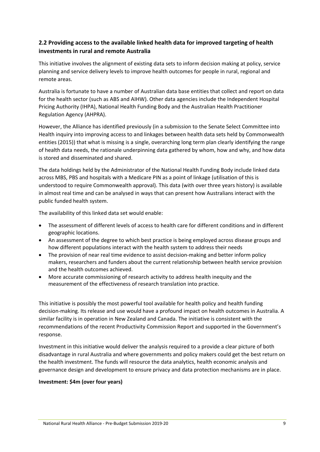#### **2.2 Providing access to the available linked health data for improved targeting of health investments in rural and remote Australia**

This initiative involves the alignment of existing data sets to inform decision making at policy, service planning and service delivery levels to improve health outcomes for people in rural, regional and remote areas.

Australia is fortunate to have a number of Australian data base entities that collect and report on data for the health sector (such as ABS and AIHW). Other data agencies include the Independent Hospital Pricing Authority (IHPA), National Health Funding Body and the Australian Health Practitioner Regulation Agency (AHPRA).

However, the Alliance has identified previously (in a submission to the Senate Select Committee into Health inquiry into improving access to and linkages between health data sets held by Commonwealth entities (2015)) that what is missing is a single, overarching long term plan clearly identifying the range of health data needs, the rationale underpinning data gathered by whom, how and why, and how data is stored and disseminated and shared.

The data holdings held by the Administrator of the National Health Funding Body include linked data across MBS, PBS and hospitals with a Medicare PIN as a point of linkage (utilisation of this is understood to require Commonwealth approval). This data (with over three years history) is available in almost real time and can be analysed in ways that can present how Australians interact with the public funded health system.

The availability of this linked data set would enable:

- The assessment of different levels of access to health care for different conditions and in different geographic locations.
- An assessment of the degree to which best practice is being employed across disease groups and how different populations interact with the health system to address their needs
- The provision of near real time evidence to assist decision-making and better inform policy makers, researchers and funders about the current relationship between health service provision and the health outcomes achieved.
- More accurate commissioning of research activity to address health inequity and the measurement of the effectiveness of research translation into practice.

This initiative is possibly the most powerful tool available for health policy and health funding decision-making. Its release and use would have a profound impact on health outcomes in Australia. A similar facility is in operation in New Zealand and Canada. The initiative is consistent with the recommendations of the recent Productivity Commission Report and supported in the Government's response.

Investment in this initiative would deliver the analysis required to a provide a clear picture of both disadvantage in rural Australia and where governments and policy makers could get the best return on the health investment. The funds will resource the data analytics, health economic analysis and governance design and development to ensure privacy and data protection mechanisms are in place.

#### **Investment: \$4m (over four years)**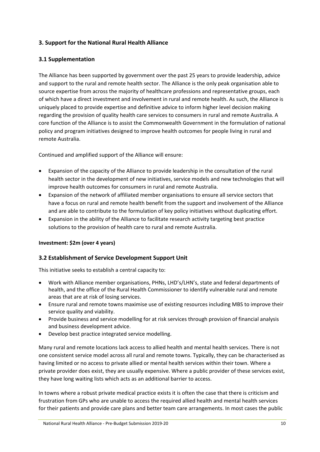#### **3. Support for the National Rural Health Alliance**

#### **3.1 Supplementation**

The Alliance has been supported by government over the past 25 years to provide leadership, advice and support to the rural and remote health sector. The Alliance is the only peak organisation able to source expertise from across the majority of healthcare professions and representative groups, each of which have a direct investment and involvement in rural and remote health. As such, the Alliance is uniquely placed to provide expertise and definitive advice to inform higher level decision making regarding the provision of quality health care services to consumers in rural and remote Australia. A core function of the Alliance is to assist the Commonwealth Government in the formulation of national policy and program initiatives designed to improve health outcomes for people living in rural and remote Australia.

Continued and amplified support of the Alliance will ensure:

- Expansion of the capacity of the Alliance to provide leadership in the consultation of the rural health sector in the development of new initiatives, service models and new technologies that will improve health outcomes for consumers in rural and remote Australia.
- Expansion of the network of affiliated member organisations to ensure all service sectors that have a focus on rural and remote health benefit from the support and involvement of the Alliance and are able to contribute to the formulation of key policy initiatives without duplicating effort.
- Expansion in the ability of the Alliance to facilitate research activity targeting best practice solutions to the provision of health care to rural and remote Australia.

#### **Investment: \$2m (over 4 years)**

#### **3.2 Establishment of Service Development Support Unit**

This initiative seeks to establish a central capacity to:

- Work with Alliance member organisations, PHNs, LHD's/LHN's, state and federal departments of health, and the office of the Rural Health Commissioner to identify vulnerable rural and remote areas that are at risk of losing services.
- Ensure rural and remote towns maximise use of existing resources including MBS to improve their service quality and viability.
- Provide business and service modelling for at risk services through provision of financial analysis and business development advice.
- Develop best practice integrated service modelling.

Many rural and remote locations lack access to allied health and mental health services. There is not one consistent service model across all rural and remote towns. Typically, they can be characterised as having limited or no access to private allied or mental health services within their town. Where a private provider does exist, they are usually expensive. Where a public provider of these services exist, they have long waiting lists which acts as an additional barrier to access.

In towns where a robust private medical practice exists it is often the case that there is criticism and frustration from GPs who are unable to access the required allied health and mental health services for their patients and provide care plans and better team care arrangements. In most cases the public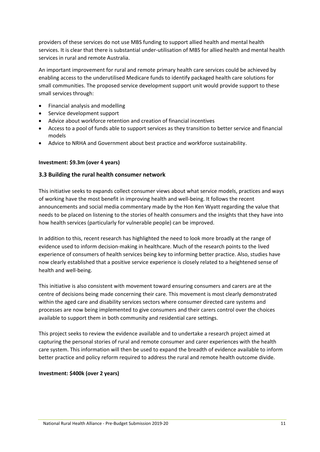providers of these services do not use MBS funding to support allied health and mental health services. It is clear that there is substantial under-utilisation of MBS for allied health and mental health services in rural and remote Australia.

An important improvement for rural and remote primary health care services could be achieved by enabling access to the underutilised Medicare funds to identify packaged health care solutions for small communities. The proposed service development support unit would provide support to these small services through:

- Financial analysis and modelling
- Service development support
- Advice about workforce retention and creation of financial incentives
- Access to a pool of funds able to support services as they transition to better service and financial models
- Advice to NRHA and Government about best practice and workforce sustainability.

#### **Investment: \$9.3m (over 4 years)**

#### <span id="page-11-0"></span>**3.3 Building the rural health consumer network**

This initiative seeks to expands collect consumer views about what service models, practices and ways of working have the most benefit in improving health and well-being. It follows the recent announcements and social media commentary made by the Hon Ken Wyatt regarding the value that needs to be placed on listening to the stories of health consumers and the insights that they have into how health services (particularly for vulnerable people) can be improved.

In addition to this, recent research has highlighted the need to look more broadly at the range of evidence used to inform decision-making in healthcare. Much of the research points to the lived experience of consumers of health services being key to informing better practice. Also, studies have now clearly established that a positive service experience is closely related to a heightened sense of health and well-being.

This initiative is also consistent with movement toward ensuring consumers and carers are at the centre of decisions being made concerning their care. This movement is most clearly demonstrated within the aged care and disability services sectors where consumer directed care systems and processes are now being implemented to give consumers and their carers control over the choices available to support them in both community and residential care settings.

This project seeks to review the evidence available and to undertake a research project aimed at capturing the personal stories of rural and remote consumer and carer experiences with the health care system. This information will then be used to expand the breadth of evidence available to inform better practice and policy reform required to address the rural and remote health outcome divide.

#### **Investment: \$400k (over 2 years)**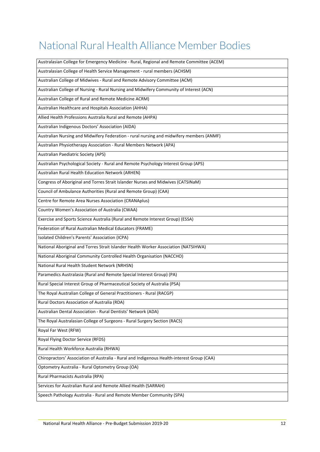## National Rural Health Alliance Member Bodies

| Australasian College for Emergency Medicine - Rural, Regional and Remote Committee (ACEM)  |
|--------------------------------------------------------------------------------------------|
| Australasian College of Health Service Management - rural members (ACHSM)                  |
| Australian College of Midwives - Rural and Remote Advisory Committee (ACM)                 |
| Australian College of Nursing - Rural Nursing and Midwifery Community of Interest (ACN)    |
| Australian College of Rural and Remote Medicine ACRM)                                      |
| Australian Healthcare and Hospitals Association (AHHA)                                     |
| Allied Health Professions Australia Rural and Remote (AHPA)                                |
| Australian Indigenous Doctors' Association (AIDA)                                          |
| Australian Nursing and Midwifery Federation - rural nursing and midwifery members (ANMF)   |
| Australian Physiotherapy Association - Rural Members Network (APA)                         |
| Australian Paediatric Society (APS)                                                        |
| Australian Psychological Society - Rural and Remote Psychology Interest Group (APS)        |
| Australian Rural Health Education Network (ARHEN)                                          |
| Congress of Aboriginal and Torres Strait Islander Nurses and Midwives (CATSINaM)           |
| Council of Ambulance Authorities (Rural and Remote Group) (CAA)                            |
| Centre for Remote Area Nurses Association (CRANAplus)                                      |
| Country Women's Association of Australia (CWAA)                                            |
| Exercise and Sports Science Australia (Rural and Remote Interest Group) (ESSA)             |
| Federation of Rural Australian Medical Educators (FRAME)                                   |
| Isolated Children's Parents' Association (ICPA)                                            |
| National Aboriginal and Torres Strait Islander Health Worker Association (NATSIHWA)        |
| National Aboriginal Community Controlled Health Organisation (NACCHO)                      |
| National Rural Health Student Network (NRHSN)                                              |
| Paramedics Australasia (Rural and Remote Special Interest Group) (PA)                      |
| Rural Special Interest Group of Pharmaceutical Society of Australia (PSA)                  |
| The Royal Australian College of General Practitioners - Rural (RACGP)                      |
| Rural Doctors Association of Australia (RDA)                                               |
| Australian Dental Association - Rural Dentists' Network (ADA)                              |
| The Royal Australasian College of Surgeons - Rural Surgery Section (RACS)                  |
| Royal Far West (RFW)                                                                       |
| Royal Flying Doctor Service (RFDS)                                                         |
| Rural Health Workforce Australia (RHWA)                                                    |
| Chiropractors' Association of Australia - Rural and Indigenous Health-interest Group (CAA) |
| Optometry Australia - Rural Optometry Group (OA)                                           |
| Rural Pharmacists Australia (RPA)                                                          |
| Services for Australian Rural and Remote Allied Health (SARRAH)                            |
| Speech Pathology Australia - Rural and Remote Member Community (SPA)                       |